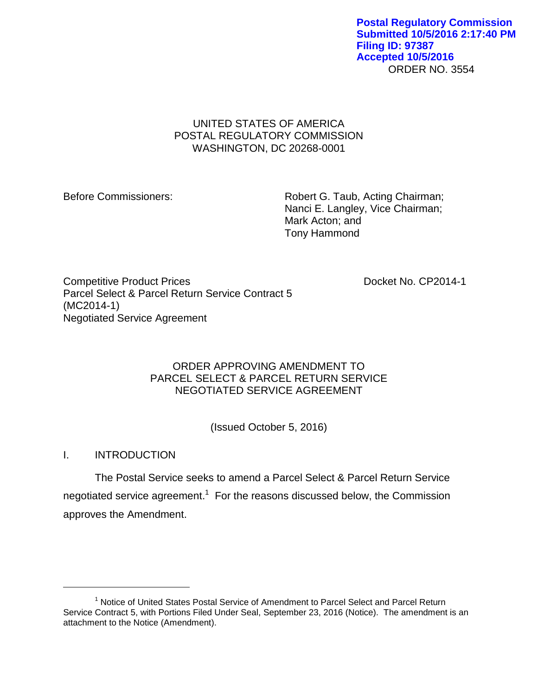ORDER NO. 3554 **Postal Regulatory Commission Submitted 10/5/2016 2:17:40 PM Filing ID: 97387 Accepted 10/5/2016**

# UNITED STATES OF AMERICA POSTAL REGULATORY COMMISSION WASHINGTON, DC 20268-0001

Before Commissioners: Robert G. Taub, Acting Chairman; Nanci E. Langley, Vice Chairman; Mark Acton; and Tony Hammond

Competitive Product Prices **Docket No. CP2014-1** Parcel Select & Parcel Return Service Contract 5 (MC2014-1) Negotiated Service Agreement

# ORDER APPROVING AMENDMENT TO PARCEL SELECT & PARCEL RETURN SERVICE NEGOTIATED SERVICE AGREEMENT

(Issued October 5, 2016)

# I. INTRODUCTION

 $\overline{a}$ 

The Postal Service seeks to amend a Parcel Select & Parcel Return Service negotiated service agreement.<sup>1</sup> For the reasons discussed below, the Commission approves the Amendment.

<sup>&</sup>lt;sup>1</sup> Notice of United States Postal Service of Amendment to Parcel Select and Parcel Return Service Contract 5, with Portions Filed Under Seal, September 23, 2016 (Notice). The amendment is an attachment to the Notice (Amendment).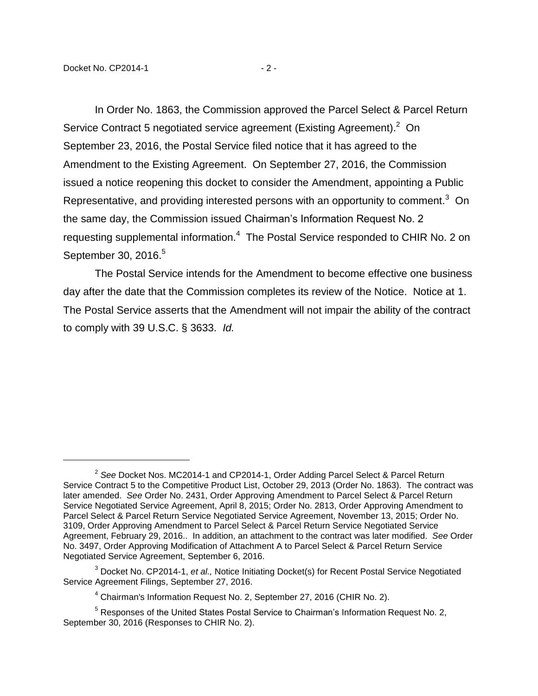$\overline{a}$ 

In Order No. 1863, the Commission approved the Parcel Select & Parcel Return Service Contract 5 negotiated service agreement (Existing Agreement). $2$  On September 23, 2016, the Postal Service filed notice that it has agreed to the Amendment to the Existing Agreement. On September 27, 2016, the Commission issued a notice reopening this docket to consider the Amendment, appointing a Public Representative, and providing interested persons with an opportunity to comment.<sup>3</sup> On the same day, the Commission issued Chairman's Information Request No. 2 requesting supplemental information.<sup>4</sup> The Postal Service responded to CHIR No. 2 on September 30, 2016.<sup>5</sup>

The Postal Service intends for the Amendment to become effective one business day after the date that the Commission completes its review of the Notice. Notice at 1. The Postal Service asserts that the Amendment will not impair the ability of the contract to comply with 39 U.S.C. § 3633. *Id.*

<sup>2</sup> *See* Docket Nos. MC2014-1 and CP2014-1, Order Adding Parcel Select & Parcel Return Service Contract 5 to the Competitive Product List, October 29, 2013 (Order No. 1863). The contract was later amended. *See* Order No. 2431, Order Approving Amendment to Parcel Select & Parcel Return Service Negotiated Service Agreement, April 8, 2015; Order No. 2813, Order Approving Amendment to Parcel Select & Parcel Return Service Negotiated Service Agreement, November 13, 2015; Order No. 3109, Order Approving Amendment to Parcel Select & Parcel Return Service Negotiated Service Agreement, February 29, 2016.. In addition, an attachment to the contract was later modified. *See* Order No. 3497, Order Approving Modification of Attachment A to Parcel Select & Parcel Return Service Negotiated Service Agreement, September 6, 2016.

<sup>3</sup> Docket No. CP2014-1, *et al.,* Notice Initiating Docket(s) for Recent Postal Service Negotiated Service Agreement Filings, September 27, 2016.

<sup>4</sup> Chairman's Information Request No. 2, September 27, 2016 (CHIR No. 2).

<sup>&</sup>lt;sup>5</sup> Responses of the United States Postal Service to Chairman's Information Request No. 2, September 30, 2016 (Responses to CHIR No. 2).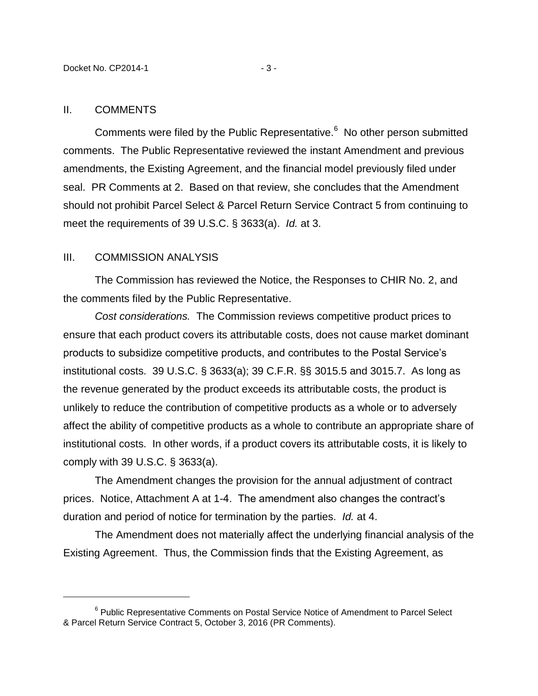#### II. COMMENTS

 $\overline{a}$ 

Comments were filed by the Public Representative.<sup>6</sup> No other person submitted comments. The Public Representative reviewed the instant Amendment and previous amendments, the Existing Agreement, and the financial model previously filed under seal. PR Comments at 2. Based on that review, she concludes that the Amendment should not prohibit Parcel Select & Parcel Return Service Contract 5 from continuing to meet the requirements of 39 U.S.C. § 3633(a). *Id.* at 3.

### III. COMMISSION ANALYSIS

The Commission has reviewed the Notice, the Responses to CHIR No. 2, and the comments filed by the Public Representative.

*Cost considerations.* The Commission reviews competitive product prices to ensure that each product covers its attributable costs, does not cause market dominant products to subsidize competitive products, and contributes to the Postal Service's institutional costs. 39 U.S.C. § 3633(a); 39 C.F.R. §§ 3015.5 and 3015.7. As long as the revenue generated by the product exceeds its attributable costs, the product is unlikely to reduce the contribution of competitive products as a whole or to adversely affect the ability of competitive products as a whole to contribute an appropriate share of institutional costs. In other words, if a product covers its attributable costs, it is likely to comply with 39 U.S.C. § 3633(a).

The Amendment changes the provision for the annual adjustment of contract prices. Notice, Attachment A at 1-4. The amendment also changes the contract's duration and period of notice for termination by the parties. *Id.* at 4.

The Amendment does not materially affect the underlying financial analysis of the Existing Agreement. Thus, the Commission finds that the Existing Agreement, as

<sup>&</sup>lt;sup>6</sup> Public Representative Comments on Postal Service Notice of Amendment to Parcel Select & Parcel Return Service Contract 5, October 3, 2016 (PR Comments).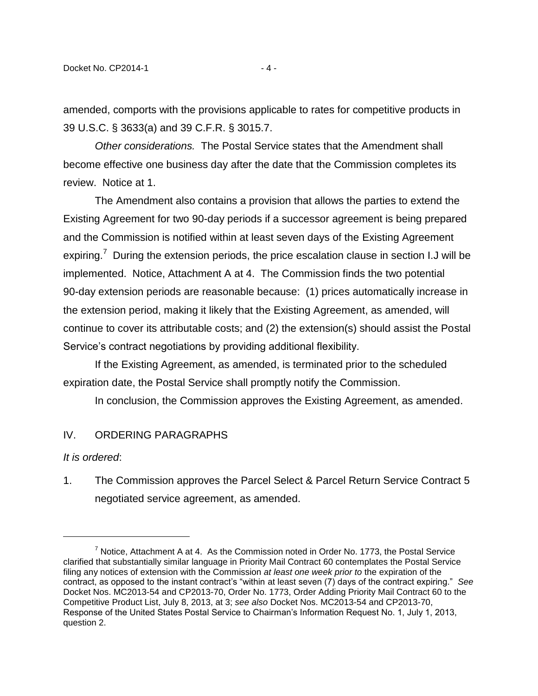amended, comports with the provisions applicable to rates for competitive products in 39 U.S.C. § 3633(a) and 39 C.F.R. § 3015.7.

*Other considerations.* The Postal Service states that the Amendment shall become effective one business day after the date that the Commission completes its review. Notice at 1.

The Amendment also contains a provision that allows the parties to extend the Existing Agreement for two 90-day periods if a successor agreement is being prepared and the Commission is notified within at least seven days of the Existing Agreement expiring.<sup>7</sup> During the extension periods, the price escalation clause in section I.J will be implemented. Notice, Attachment A at 4. The Commission finds the two potential 90-day extension periods are reasonable because: (1) prices automatically increase in the extension period, making it likely that the Existing Agreement, as amended, will continue to cover its attributable costs; and (2) the extension(s) should assist the Postal Service's contract negotiations by providing additional flexibility.

If the Existing Agreement, as amended, is terminated prior to the scheduled expiration date, the Postal Service shall promptly notify the Commission.

In conclusion, the Commission approves the Existing Agreement, as amended.

## IV. ORDERING PARAGRAPHS

#### *It is ordered*:

 $\overline{a}$ 

1. The Commission approves the Parcel Select & Parcel Return Service Contract 5 negotiated service agreement, as amended.

 $7$  Notice, Attachment A at 4. As the Commission noted in Order No. 1773, the Postal Service clarified that substantially similar language in Priority Mail Contract 60 contemplates the Postal Service filing any notices of extension with the Commission *at least one week prior to* the expiration of the contract, as opposed to the instant contract's "within at least seven (7) days of the contract expiring." *See* Docket Nos. MC2013-54 and CP2013-70, Order No. 1773, Order Adding Priority Mail Contract 60 to the Competitive Product List, July 8, 2013, at 3; *see also* Docket Nos. MC2013-54 and CP2013-70, Response of the United States Postal Service to Chairman's Information Request No. 1, July 1, 2013, question 2.